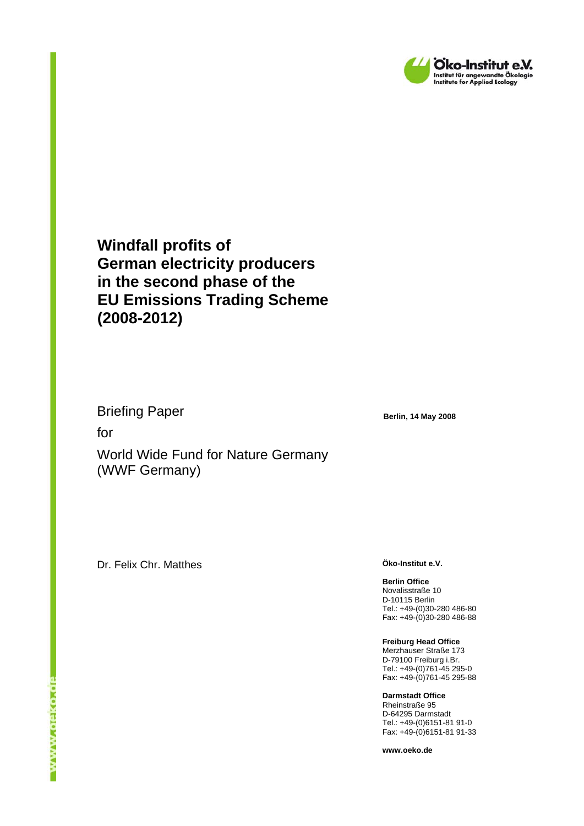

**Windfall profits of German electricity producers in the second phase of the EU Emissions Trading Scheme (2008-2012)** 

Briefing Paper

for

World Wide Fund for Nature Germany (WWF Germany)

Dr. Felix Chr. Matthes **Öko-Institut e.V.** 

**Berlin, 14 May 2008** 

**Berlin Office**  Novalisstraße 10 D-10115 Berlin Tel.: +49-(0)30-280 486-80 Fax: +49-(0)30-280 486-88

**Freiburg Head Office**  Merzhauser Straße 173 D-79100 Freiburg i.Br. Tel.: +49-(0)761-45 295-0 Fax: +49-(0)761-45 295-88

**Darmstadt Office**  Rheinstraße 95 D-64295 Darmstadt Tel.: +49-(0)6151-81 91-0 Fax: +49-(0)6151-81 91-33

**www.oeko.de**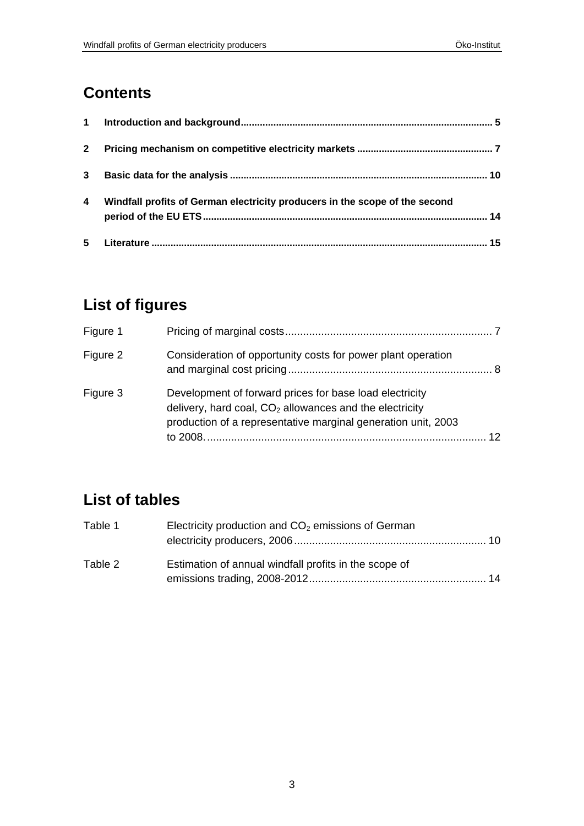# **Contents**

| $\mathbf 1$  |                                                                             |    |
|--------------|-----------------------------------------------------------------------------|----|
| $\mathbf{2}$ |                                                                             |    |
| $3^{\circ}$  |                                                                             | 10 |
| 4            | Windfall profits of German electricity producers in the scope of the second |    |
| 5            |                                                                             | 15 |

# **List of figures**

| Figure 1 |                                                                                                                                                                                       |                 |
|----------|---------------------------------------------------------------------------------------------------------------------------------------------------------------------------------------|-----------------|
| Figure 2 | Consideration of opportunity costs for power plant operation                                                                                                                          |                 |
| Figure 3 | Development of forward prices for base load electricity<br>delivery, hard coal, $CO2$ allowances and the electricity<br>production of a representative marginal generation unit, 2003 | 12 <sup>2</sup> |

# **List of tables**

| Table 1 | Electricity production and $CO2$ emissions of German  |  |  |  |  |
|---------|-------------------------------------------------------|--|--|--|--|
|         |                                                       |  |  |  |  |
| Table 2 | Estimation of annual windfall profits in the scope of |  |  |  |  |
|         |                                                       |  |  |  |  |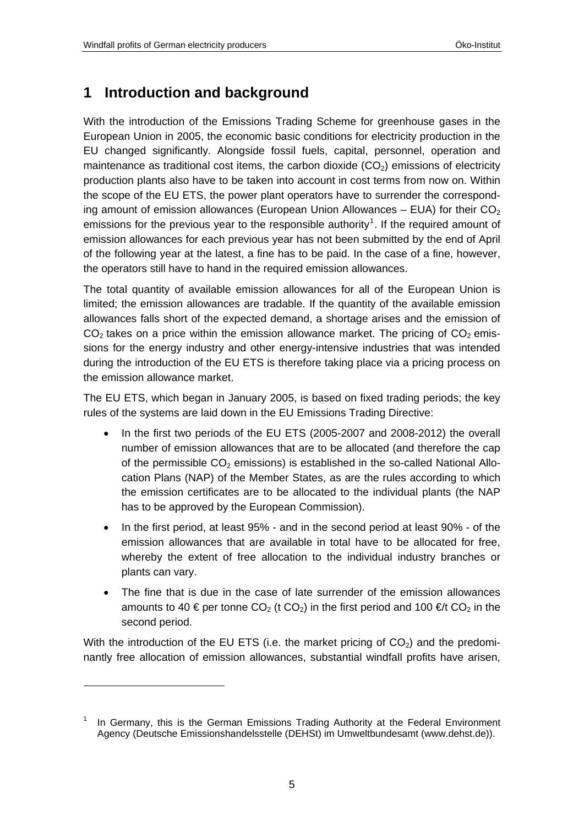#### <span id="page-4-0"></span>**1 Introduction and background**

With the introduction of the Emissions Trading Scheme for greenhouse gases in the European Union in 2005, the economic basic conditions for electricity production in the EU changed significantly. Alongside fossil fuels, capital, personnel, operation and maintenance as traditional cost items, the carbon dioxide  $(CO<sub>2</sub>)$  emissions of electricity production plants also have to be taken into account in cost terms from now on. Within the scope of the EU ETS, the power plant operators have to surrender the corresponding amount of emission allowances (European Union Allowances – EUA) for their  $CO<sub>2</sub>$ emissions for the previous year to the responsible authority<sup>[1](#page-4-1)</sup>. If the required amount of emission allowances for each previous year has not been submitted by the end of April of the following year at the latest, a fine has to be paid. In the case of a fine, however, the operators still have to hand in the required emission allowances.

The total quantity of available emission allowances for all of the European Union is limited; the emission allowances are tradable. If the quantity of the available emission allowances falls short of the expected demand, a shortage arises and the emission of  $CO<sub>2</sub>$  takes on a price within the emission allowance market. The pricing of  $CO<sub>2</sub>$  emissions for the energy industry and other energy-intensive industries that was intended during the introduction of the EU ETS is therefore taking place via a pricing process on the emission allowance market.

The EU ETS, which began in January 2005, is based on fixed trading periods; the key rules of the systems are laid down in the EU Emissions Trading Directive:

- In the first two periods of the EU ETS (2005-2007 and 2008-2012) the overall number of emission allowances that are to be allocated (and therefore the cap of the permissible  $CO<sub>2</sub>$  emissions) is established in the so-called National Allocation Plans (NAP) of the Member States, as are the rules according to which the emission certificates are to be allocated to the individual plants (the NAP has to be approved by the European Commission).
- In the first period, at least 95% and in the second period at least 90% of the emission allowances that are available in total have to be allocated for free, whereby the extent of free allocation to the individual industry branches or plants can vary.
- The fine that is due in the case of late surrender of the emission allowances amounts to 40 € per tonne CO<sub>2</sub> (t CO<sub>2</sub>) in the first period and 100 €/t CO<sub>2</sub> in the second period.

With the introduction of the EU ETS (i.e. the market pricing of  $CO<sub>2</sub>$ ) and the predominantly free allocation of emission allowances, substantial windfall profits have arisen,

1

<span id="page-4-1"></span><sup>1</sup> In Germany, this is the German Emissions Trading Authority at the Federal Environment Agency (Deutsche Emissionshandelsstelle (DEHSt) im Umweltbundesamt (www.dehst.de)).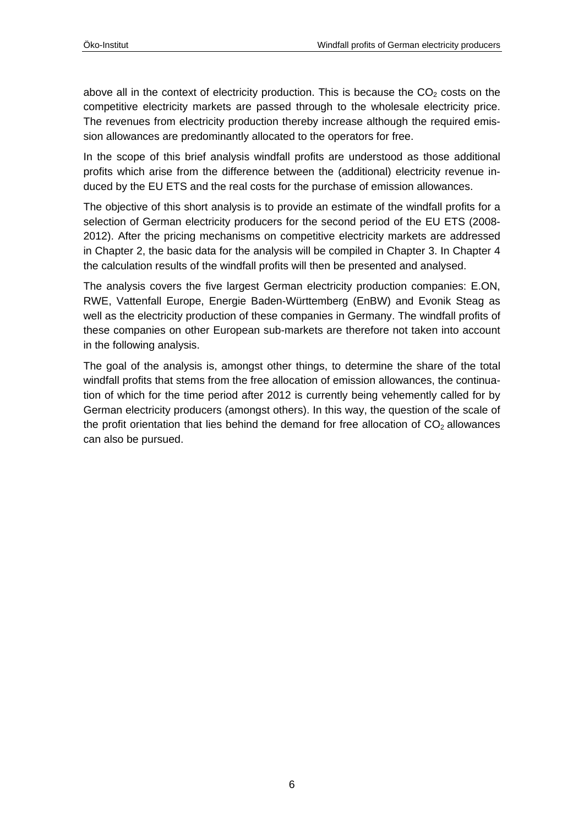above all in the context of electricity production. This is because the  $CO<sub>2</sub>$  costs on the competitive electricity markets are passed through to the wholesale electricity price. The revenues from electricity production thereby increase although the required emission allowances are predominantly allocated to the operators for free.

In the scope of this brief analysis windfall profits are understood as those additional profits which arise from the difference between the (additional) electricity revenue induced by the EU ETS and the real costs for the purchase of emission allowances.

The objective of this short analysis is to provide an estimate of the windfall profits for a selection of German electricity producers for the second period of the EU ETS (2008- 2012). After the pricing mechanisms on competitive electricity markets are addressed in Chapter [2](#page-6-1), the basic data for the analysis will be compiled in Chapter [3.](#page-9-1) In Chapter [4](#page-13-1) the calculation results of the windfall profits will then be presented and analysed.

The analysis covers the five largest German electricity production companies: E.ON, RWE, Vattenfall Europe, Energie Baden-Württemberg (EnBW) and Evonik Steag as well as the electricity production of these companies in Germany. The windfall profits of these companies on other European sub-markets are therefore not taken into account in the following analysis.

The goal of the analysis is, amongst other things, to determine the share of the total windfall profits that stems from the free allocation of emission allowances, the continuation of which for the time period after 2012 is currently being vehemently called for by German electricity producers (amongst others). In this way, the question of the scale of the profit orientation that lies behind the demand for free allocation of  $CO<sub>2</sub>$  allowances can also be pursued.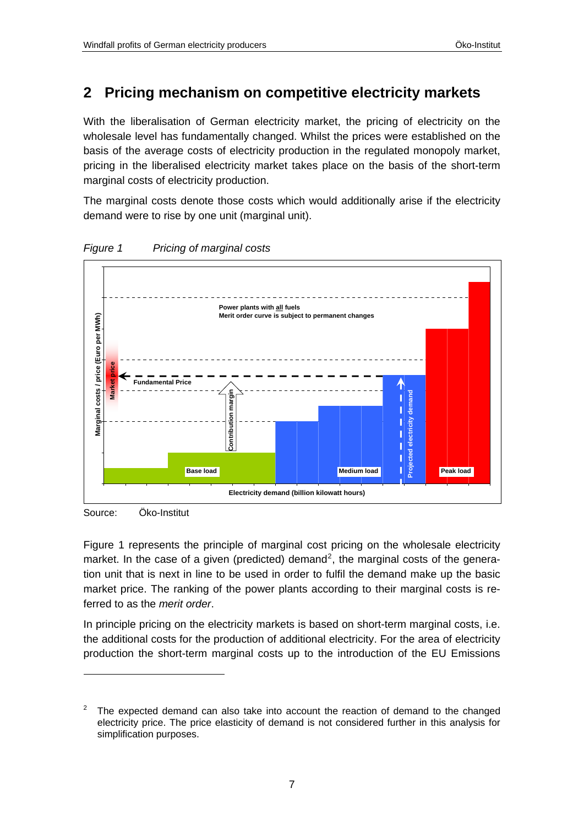#### <span id="page-6-1"></span><span id="page-6-0"></span>**2 Pricing mechanism on competitive electricity markets**

With the liberalisation of German electricity market, the pricing of electricity on the wholesale level has fundamentally changed. Whilst the prices were established on the basis of the average costs of electricity production in the regulated monopoly market, pricing in the liberalised electricity market takes place on the basis of the short-term marginal costs of electricity production.

The marginal costs denote those costs which would additionally arise if the electricity demand were to rise by one unit (marginal unit).



<span id="page-6-3"></span>*Figure 1 Pricing of marginal costs* 

Source: Öko-Institut

 $\overline{a}$ 

[Figure 1](#page-6-3) represents the principle of marginal cost pricing on the wholesale electricity market. In the case of a given (predicted) demand<sup>[2](#page-6-2)</sup>, the marginal costs of the generation unit that is next in line to be used in order to fulfil the demand make up the basic market price. The ranking of the power plants according to their marginal costs is referred to as the *merit order*.

In principle pricing on the electricity markets is based on short-term marginal costs, i.e. the additional costs for the production of additional electricity. For the area of electricity production the short-term marginal costs up to the introduction of the EU Emissions

<span id="page-6-2"></span><sup>2</sup> The expected demand can also take into account the reaction of demand to the changed electricity price. The price elasticity of demand is not considered further in this analysis for simplification purposes.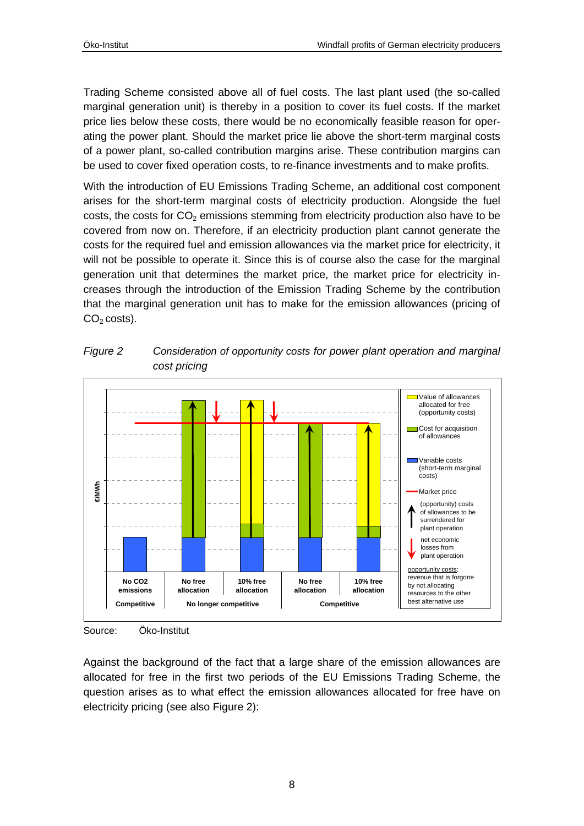<span id="page-7-0"></span>Trading Scheme consisted above all of fuel costs. The last plant used (the so-called marginal generation unit) is thereby in a position to cover its fuel costs. If the market price lies below these costs, there would be no economically feasible reason for operating the power plant. Should the market price lie above the short-term marginal costs of a power plant, so-called contribution margins arise. These contribution margins can be used to cover fixed operation costs, to re-finance investments and to make profits.

With the introduction of EU Emissions Trading Scheme, an additional cost component arises for the short-term marginal costs of electricity production. Alongside the fuel costs, the costs for  $CO<sub>2</sub>$  emissions stemming from electricity production also have to be covered from now on. Therefore, if an electricity production plant cannot generate the costs for the required fuel and emission allowances via the market price for electricity, it will not be possible to operate it. Since this is of course also the case for the marginal generation unit that determines the market price, the market price for electricity increases through the introduction of the Emission Trading Scheme by the contribution that the marginal generation unit has to make for the emission allowances (pricing of  $CO<sub>2</sub> \cos(s)$ .



<span id="page-7-1"></span>*Figure 2 Consideration of opportunity costs for power plant operation and marginal cost pricing* 

Against the background of the fact that a large share of the emission allowances are allocated for free in the first two periods of the EU Emissions Trading Scheme, the question arises as to what effect the emission allowances allocated for free have on electricity pricing (see also [Figure 2\)](#page-7-1):

Source: Öko-Institut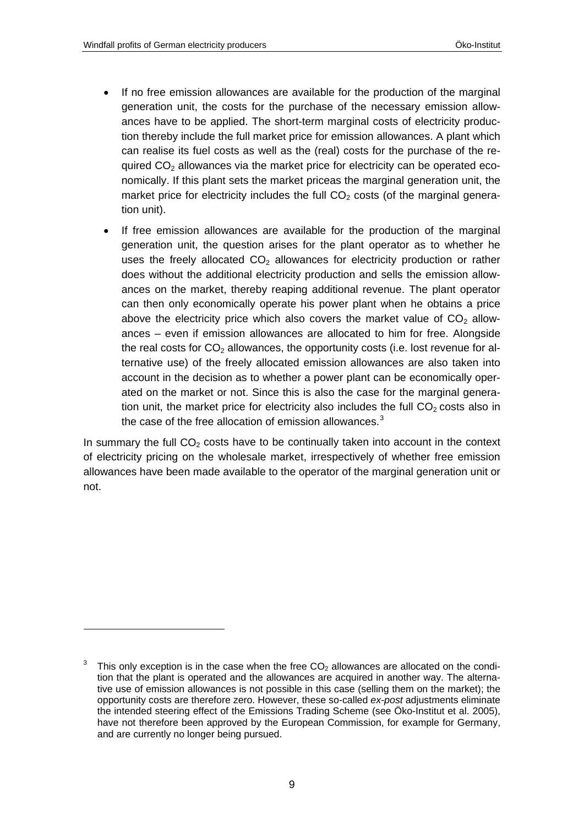1

- If no free emission allowances are available for the production of the marginal generation unit, the costs for the purchase of the necessary emission allowances have to be applied. The short-term marginal costs of electricity production thereby include the full market price for emission allowances. A plant which can realise its fuel costs as well as the (real) costs for the purchase of the required  $CO<sub>2</sub>$  allowances via the market price for electricity can be operated economically. If this plant sets the market priceas the marginal generation unit, the market price for electricity includes the full  $CO<sub>2</sub>$  costs (of the marginal generation unit).
- If free emission allowances are available for the production of the marginal generation unit, the question arises for the plant operator as to whether he uses the freely allocated  $CO<sub>2</sub>$  allowances for electricity production or rather does without the additional electricity production and sells the emission allowances on the market, thereby reaping additional revenue. The plant operator can then only economically operate his power plant when he obtains a price above the electricity price which also covers the market value of  $CO<sub>2</sub>$  allowances – even if emission allowances are allocated to him for free. Alongside the real costs for  $CO<sub>2</sub>$  allowances, the opportunity costs (i.e. lost revenue for alternative use) of the freely allocated emission allowances are also taken into account in the decision as to whether a power plant can be economically operated on the market or not. Since this is also the case for the marginal generation unit, the market price for electricity also includes the full  $CO<sub>2</sub>$  costs also in the case of the free allocation of emission allowances. $3$

In summary the full  $CO<sub>2</sub>$  costs have to be continually taken into account in the context of electricity pricing on the wholesale market, irrespectively of whether free emission allowances have been made available to the operator of the marginal generation unit or not.

<span id="page-8-0"></span><sup>3</sup> This only exception is in the case when the free  $CO<sub>2</sub>$  allowances are allocated on the condition that the plant is operated and the allowances are acquired in another way. The alternative use of emission allowances is not possible in this case (selling them on the market); the opportunity costs are therefore zero. However, these so-called *ex-post* adjustments eliminate the intended steering effect of the Emissions Trading Scheme (see Öko-Institut et al. 2005), have not therefore been approved by the European Commission, for example for Germany, and are currently no longer being pursued.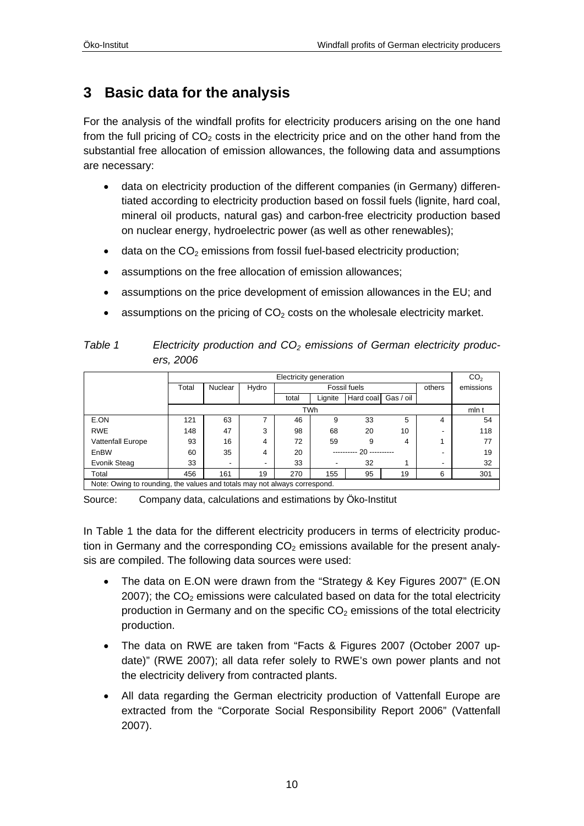## <span id="page-9-1"></span><span id="page-9-0"></span>**3 Basic data for the analysis**

For the analysis of the windfall profits for electricity producers arising on the one hand from the full pricing of  $CO<sub>2</sub>$  costs in the electricity price and on the other hand from the substantial free allocation of emission allowances, the following data and assumptions are necessary:

- data on electricity production of the different companies (in Germany) differentiated according to electricity production based on fossil fuels (lignite, hard coal, mineral oil products, natural gas) and carbon-free electricity production based on nuclear energy, hydroelectric power (as well as other renewables);
- $\bullet$  data on the CO<sub>2</sub> emissions from fossil fuel-based electricity production;
- assumptions on the free allocation of emission allowances;
- assumptions on the price development of emission allowances in the EU; and
- assumptions on the pricing of  $CO<sub>2</sub>$  costs on the wholesale electricity market.

<span id="page-9-2"></span>

| Table 1 | Electricity production and $CO2$ emissions of German electricity produc- |
|---------|--------------------------------------------------------------------------|
|         | ers. 2006                                                                |

|                                                                           | Electricity generation |                          |       |              |                          |           | CO <sub>2</sub> |        |           |
|---------------------------------------------------------------------------|------------------------|--------------------------|-------|--------------|--------------------------|-----------|-----------------|--------|-----------|
|                                                                           | Total                  | Nuclear                  | Hydro | Fossil fuels |                          |           |                 | others | emissions |
|                                                                           |                        |                          |       | total        | Lignite                  | Hard coal | Gas / oil       |        |           |
|                                                                           | <b>TWh</b>             |                          |       |              |                          |           |                 | mln t  |           |
| E.ON                                                                      | 121                    | 63                       |       | 46           | 9                        | 33        | 5               | 4      | 54        |
| <b>RWE</b>                                                                | 148                    | 47                       | 3     | 98           | 68                       | 20        | 10              |        | 118       |
| <b>Vattenfall Europe</b>                                                  | 93                     | 16                       | 4     | 72           | 59                       | 9         | 4               |        | 77        |
| EnBW                                                                      | 60                     | 35                       | 4     | 20           | ---------- 20 ---------- |           |                 | 19     |           |
| Evonik Steag                                                              | 33                     | $\overline{\phantom{a}}$ | -     | 33           | -                        | 32        |                 | -      | 32        |
| Total                                                                     | 456                    | 161                      | 19    | 270          | 155                      | 95        | 19              | 6      | 301       |
| Note: Owing to rounding, the values and totals may not always correspond. |                        |                          |       |              |                          |           |                 |        |           |

Source: Company data, calculations and estimations by Öko-Institut

In [Table 1](#page-9-2) the data for the different electricity producers in terms of electricity production in Germany and the corresponding  $CO<sub>2</sub>$  emissions available for the present analysis are compiled. The following data sources were used:

- The data on E.ON were drawn from the "Strategy & Key Figures 2007" (E.ON 2007); the  $CO<sub>2</sub>$  emissions were calculated based on data for the total electricity production in Germany and on the specific  $CO<sub>2</sub>$  emissions of the total electricity production.
- The data on RWE are taken from "Facts & Figures 2007 (October 2007 update)" (RWE 2007); all data refer solely to RWE's own power plants and not the electricity delivery from contracted plants.
- All data regarding the German electricity production of Vattenfall Europe are extracted from the "Corporate Social Responsibility Report 2006" (Vattenfall 2007).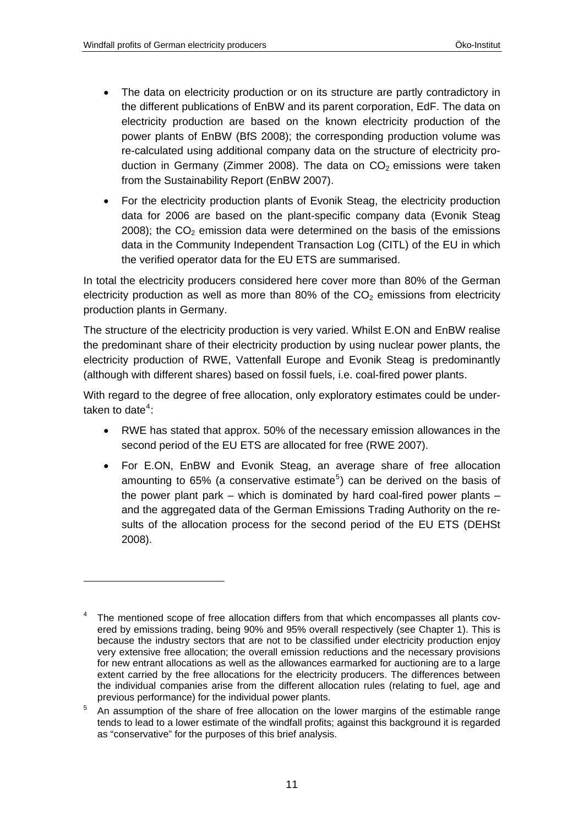1

- The data on electricity production or on its structure are partly contradictory in the different publications of EnBW and its parent corporation, EdF. The data on electricity production are based on the known electricity production of the power plants of EnBW (BfS 2008); the corresponding production volume was re-calculated using additional company data on the structure of electricity production in Germany (Zimmer 2008). The data on  $CO<sub>2</sub>$  emissions were taken from the Sustainability Report (EnBW 2007).
- For the electricity production plants of Evonik Steag, the electricity production data for 2006 are based on the plant-specific company data (Evonik Steag 2008); the  $CO<sub>2</sub>$  emission data were determined on the basis of the emissions data in the Community Independent Transaction Log (CITL) of the EU in which the verified operator data for the EU ETS are summarised.

In total the electricity producers considered here cover more than 80% of the German electricity production as well as more than 80% of the  $CO<sub>2</sub>$  emissions from electricity production plants in Germany.

The structure of the electricity production is very varied. Whilst E.ON and EnBW realise the predominant share of their electricity production by using nuclear power plants, the electricity production of RWE, Vattenfall Europe and Evonik Steag is predominantly (although with different shares) based on fossil fuels, i.e. coal-fired power plants.

With regard to the degree of free allocation, only exploratory estimates could be undertaken to date $4$ :

- RWE has stated that approx. 50% of the necessary emission allowances in the second period of the EU ETS are allocated for free (RWE 2007).
- For E.ON, EnBW and Evonik Steag, an average share of free allocation amounting to 6[5](#page-10-1)% (a conservative estimate<sup>5</sup>) can be derived on the basis of the power plant park – which is dominated by hard coal-fired power plants – and the aggregated data of the German Emissions Trading Authority on the results of the allocation process for the second period of the EU ETS (DEHSt 2008).

<span id="page-10-0"></span><sup>4</sup> The mentioned scope of free allocation differs from that which encompasses all plants covered by emissions trading, being 90% and 95% overall respectively (see Chapter 1). This is because the industry sectors that are not to be classified under electricity production enjoy very extensive free allocation; the overall emission reductions and the necessary provisions for new entrant allocations as well as the allowances earmarked for auctioning are to a large extent carried by the free allocations for the electricity producers. The differences between the individual companies arise from the different allocation rules (relating to fuel, age and previous performance) for the individual power plants.

<span id="page-10-1"></span><sup>5</sup> An assumption of the share of free allocation on the lower margins of the estimable range tends to lead to a lower estimate of the windfall profits; against this background it is regarded as "conservative" for the purposes of this brief analysis.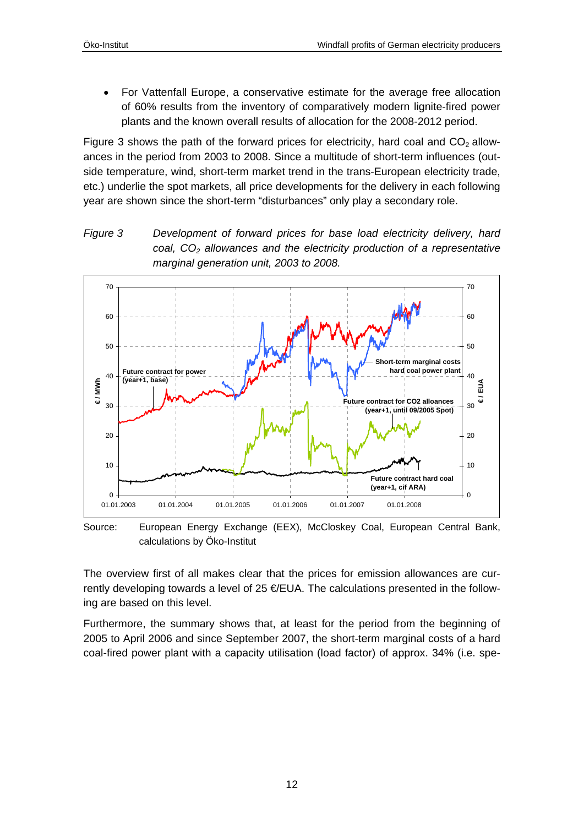<span id="page-11-0"></span>• For Vattenfall Europe, a conservative estimate for the average free allocation of 60% results from the inventory of comparatively modern lignite-fired power plants and the known overall results of allocation for the 2008-2012 period.

[Figure 3](#page-11-1) shows the path of the forward prices for electricity, hard coal and  $CO<sub>2</sub>$  allowances in the period from 2003 to 2008. Since a multitude of short-term influences (outside temperature, wind, short-term market trend in the trans-European electricity trade, etc.) underlie the spot markets, all price developments for the delivery in each following year are shown since the short-term "disturbances" only play a secondary role.

<span id="page-11-1"></span>



Source: European Energy Exchange (EEX), McCloskey Coal, European Central Bank, calculations by Öko-Institut

The overview first of all makes clear that the prices for emission allowances are currently developing towards a level of 25  $E$ EUA. The calculations presented in the following are based on this level.

Furthermore, the summary shows that, at least for the period from the beginning of 2005 to April 2006 and since September 2007, the short-term marginal costs of a hard coal-fired power plant with a capacity utilisation (load factor) of approx. 34% (i.e. spe-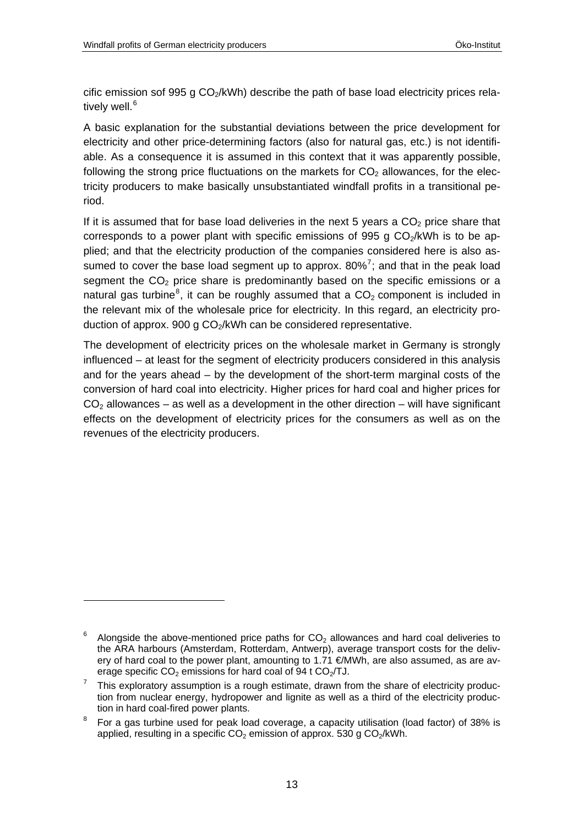$\overline{a}$ 

cific emission sof 995 g  $CO<sub>2</sub>/kWh$ ) describe the path of base load electricity prices rela-tively well.<sup>[6](#page-12-0)</sup>

A basic explanation for the substantial deviations between the price development for electricity and other price-determining factors (also for natural gas, etc.) is not identifiable. As a consequence it is assumed in this context that it was apparently possible, following the strong price fluctuations on the markets for  $CO<sub>2</sub>$  allowances, for the electricity producers to make basically unsubstantiated windfall profits in a transitional period.

If it is assumed that for base load deliveries in the next 5 years a  $CO<sub>2</sub>$  price share that corresponds to a power plant with specific emissions of 995 g  $CO<sub>2</sub>/kWh$  is to be applied; and that the electricity production of the companies considered here is also assumed to cover the base load segment up to approx.  $80\%$ <sup>[7](#page-12-1)</sup>; and that in the peak load segment the  $CO<sub>2</sub>$  price share is predominantly based on the specific emissions or a natural gas turbine<sup>[8](#page-12-2)</sup>, it can be roughly assumed that a  $CO<sub>2</sub>$  component is included in the relevant mix of the wholesale price for electricity. In this regard, an electricity production of approx. 900 g CO<sub>2</sub>/kWh can be considered representative.

The development of electricity prices on the wholesale market in Germany is strongly influenced – at least for the segment of electricity producers considered in this analysis and for the years ahead – by the development of the short-term marginal costs of the conversion of hard coal into electricity. Higher prices for hard coal and higher prices for  $CO<sub>2</sub>$  allowances – as well as a development in the other direction – will have significant effects on the development of electricity prices for the consumers as well as on the revenues of the electricity producers.

<span id="page-12-0"></span><sup>6</sup> Alongside the above-mentioned price paths for  $CO<sub>2</sub>$  allowances and hard coal deliveries to the ARA harbours (Amsterdam, Rotterdam, Antwerp), average transport costs for the delivery of hard coal to the power plant, amounting to 1.71  $\epsilon$ MWh, are also assumed, as are average specific  $CO<sub>2</sub>$  emissions for hard coal of 94 t  $CO<sub>2</sub>/TJ$ .

<span id="page-12-1"></span>This exploratory assumption is a rough estimate, drawn from the share of electricity production from nuclear energy, hydropower and lignite as well as a third of the electricity production in hard coal-fired power plants.

<span id="page-12-2"></span><sup>8</sup> For a gas turbine used for peak load coverage, a capacity utilisation (load factor) of 38% is applied, resulting in a specific  $CO<sub>2</sub>$  emission of approx. 530 g  $CO<sub>2</sub>/kWh$ .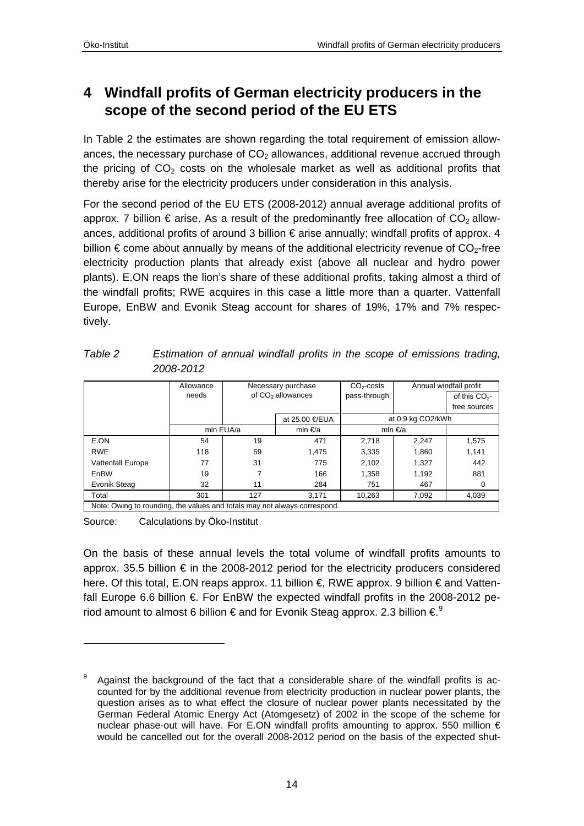## <span id="page-13-1"></span><span id="page-13-0"></span>**4 Windfall profits of German electricity producers in the scope of the second period of the EU ETS**

In [Table 2](#page-13-2) the estimates are shown regarding the total requirement of emission allowances, the necessary purchase of  $CO<sub>2</sub>$  allowances, additional revenue accrued through the pricing of  $CO<sub>2</sub>$  costs on the wholesale market as well as additional profits that thereby arise for the electricity producers under consideration in this analysis.

For the second period of the EU ETS (2008-2012) annual average additional profits of approx. 7 billion  $\epsilon$  arise. As a result of the predominantly free allocation of CO<sub>2</sub> allowances, additional profits of around 3 billion € arise annually; windfall profits of approx. 4 billion  $\epsilon$  come about annually by means of the additional electricity revenue of  $CO<sub>2</sub>$ -free electricity production plants that already exist (above all nuclear and hydro power plants). E.ON reaps the lion's share of these additional profits, taking almost a third of the windfall profits; RWE acquires in this case a little more than a quarter. Vattenfall Europe, EnBW and Evonik Steag account for shares of 19%, 17% and 7% respectively.

|                                                                           | Allowance |                               | Necessary purchase | $CO2 - costs$ | Annual windfall profit |                 |  |  |
|---------------------------------------------------------------------------|-----------|-------------------------------|--------------------|---------------|------------------------|-----------------|--|--|
|                                                                           | needs     | of CO <sub>2</sub> allowances |                    | pass-through  |                        | of this $CO2$ - |  |  |
|                                                                           |           |                               |                    |               |                        | free sources    |  |  |
|                                                                           |           |                               | at 25.00 €/EUA     |               | at 0.9 kg CO2/kWh      |                 |  |  |
|                                                                           |           | mln EUA/a                     | mln €/a            | mln €/a       |                        |                 |  |  |
| E.ON                                                                      | 54        | 19                            | 471                | 2.718         | 2.247                  | 1.575           |  |  |
| <b>RWE</b>                                                                | 118       | 59                            | 1,475              | 3,335         | 1,860                  | 1,141           |  |  |
| <b>Vattenfall Europe</b>                                                  | 77        | 31                            | 775                | 2,102         | 1,327                  | 442             |  |  |
| EnBW                                                                      | 19        |                               | 166                | 1,358         | 1,192                  | 881             |  |  |
| Evonik Steag                                                              | 32        | 11                            | 284                | 751           | 467                    | 0               |  |  |
| Total                                                                     | 301       | 127                           | 3,171              | 10,263        | 7,092                  | 4,039           |  |  |
| Note: Owing to rounding, the values and totals may not always correspond. |           |                               |                    |               |                        |                 |  |  |

<span id="page-13-2"></span>*Table 2 Estimation of annual windfall profits in the scope of emissions trading, 2008-2012* 

Source: Calculations by Öko-Institut

 $\overline{a}$ 

On the basis of these annual levels the total volume of windfall profits amounts to approx. 35.5 billion € in the 2008-2012 period for the electricity producers considered here. Of this total, E.ON reaps approx. 11 billion €, RWE approx. 9 billion € and Vattenfall Europe 6.6 billion  $\epsilon$ . For EnBW the expected windfall profits in the 2008-2012 period amount to almost 6 billion  $\epsilon$  and for Evonik Steag approx. 2.3 billion  $\epsilon^9$  $\epsilon^9$ 

<span id="page-13-3"></span><sup>9</sup> Against the background of the fact that a considerable share of the windfall profits is accounted for by the additional revenue from electricity production in nuclear power plants, the question arises as to what effect the closure of nuclear power plants necessitated by the German Federal Atomic Energy Act (Atomgesetz) of 2002 in the scope of the scheme for nuclear phase-out will have. For E.ON windfall profits amounting to approx. 550 million € would be cancelled out for the overall 2008-2012 period on the basis of the expected shut-